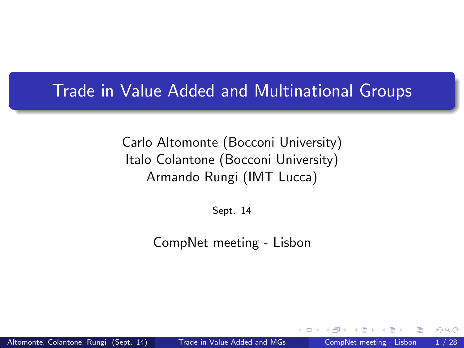#### Trade in Value Added and Multinational Groups

Carlo Altomonte (Bocconi University) Italo Colantone (Bocconi University) Armando Rungi (IMT Lucca)

<span id="page-0-0"></span>Sept. 14

CompNet meeting - Lisbon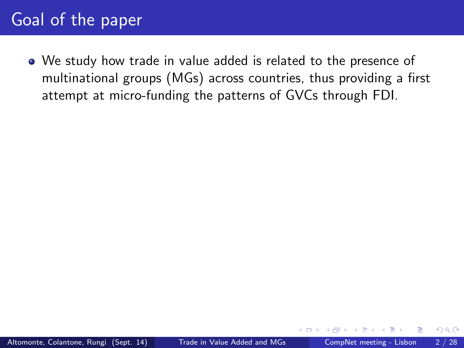We study how trade in value added is related to the presence of multinational groups (MGs) across countries, thus providing a first attempt at micro-funding the patterns of GVCs through FDI.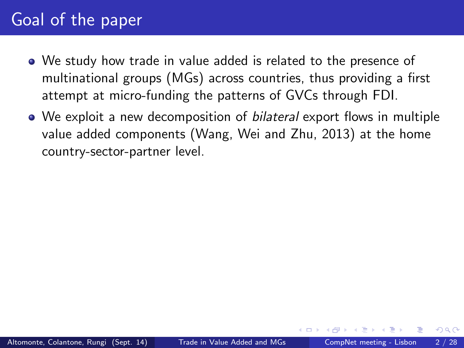- We study how trade in value added is related to the presence of multinational groups (MGs) across countries, thus providing a first attempt at micro-funding the patterns of GVCs through FDI.
- We exploit a new decomposition of *bilateral* export flows in multiple value added components (Wang, Wei and Zhu, 2013) at the home country-sector-partner level.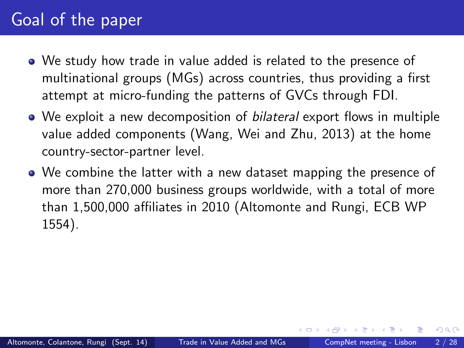- We study how trade in value added is related to the presence of multinational groups (MGs) across countries, thus providing a first attempt at micro-funding the patterns of GVCs through FDI.
- We exploit a new decomposition of *bilateral* export flows in multiple value added components (Wang, Wei and Zhu, 2013) at the home country-sector-partner level.
- We combine the latter with a new dataset mapping the presence of more than 270,000 business groups worldwide, with a total of more than 1,500,000 affiliates in 2010 (Altomonte and Rungi, ECB WP 1554).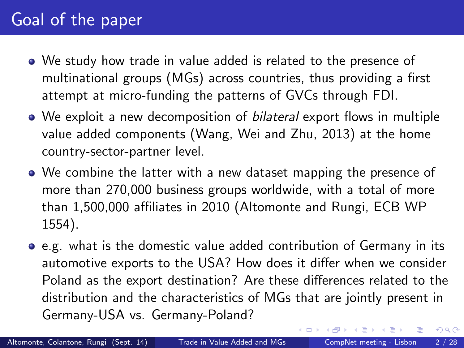- We study how trade in value added is related to the presence of multinational groups (MGs) across countries, thus providing a first attempt at micro-funding the patterns of GVCs through FDI.
- We exploit a new decomposition of *bilateral* export flows in multiple value added components (Wang, Wei and Zhu, 2013) at the home country-sector-partner level.
- We combine the latter with a new dataset mapping the presence of more than 270,000 business groups worldwide, with a total of more than 1,500,000 affiliates in 2010 (Altomonte and Rungi, ECB WP 1554).
- e.g. what is the domestic value added contribution of Germany in its automotive exports to the USA? How does it differ when we consider Poland as the export destination? Are these differences related to the distribution and the characteristics of MGs that are jointly present in Germany-USA vs. Germany-Poland?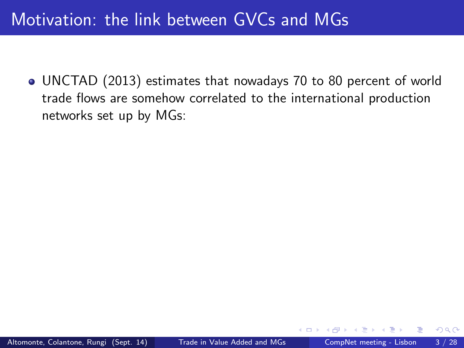UNCTAD (2013) estimates that nowadays 70 to 80 percent of world trade flows are somehow correlated to the international production networks set up by MGs: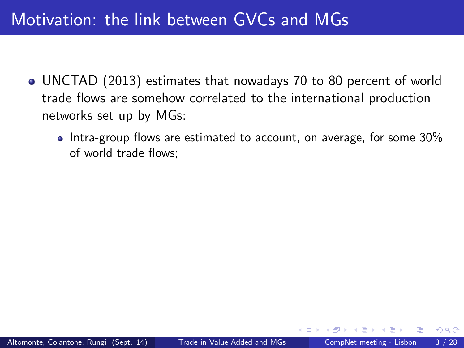- UNCTAD (2013) estimates that nowadays 70 to 80 percent of world trade flows are somehow correlated to the international production networks set up by MGs:
	- $\bullet$  Intra-group flows are estimated to account, on average, for some 30% of world trade flows;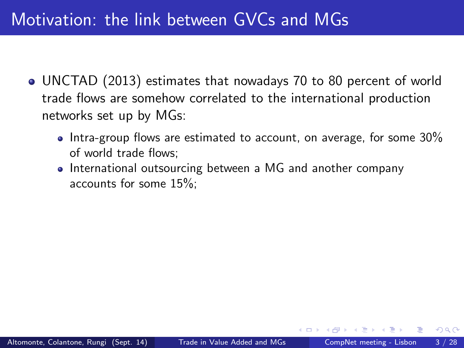- UNCTAD (2013) estimates that nowadays 70 to 80 percent of world trade flows are somehow correlated to the international production networks set up by MGs:
	- Intra-group flows are estimated to account, on average, for some  $30\%$ of world trade flows;
	- International outsourcing between a MG and another company accounts for some 15%;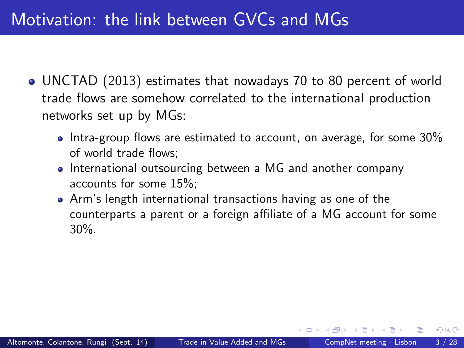- UNCTAD (2013) estimates that nowadays 70 to 80 percent of world trade flows are somehow correlated to the international production networks set up by MGs:
	- Intra-group flows are estimated to account, on average, for some  $30\%$ of world trade flows:
	- International outsourcing between a MG and another company accounts for some 15%;
	- Arm's length international transactions having as one of the counterparts a parent or a foreign affiliate of a MG account for some 30%.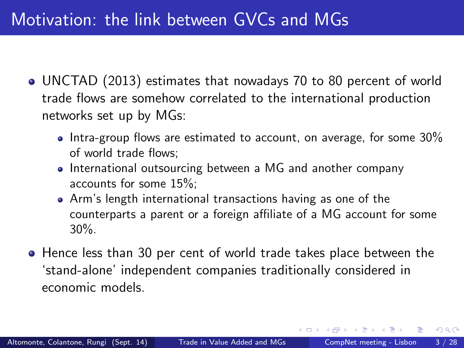- UNCTAD (2013) estimates that nowadays 70 to 80 percent of world trade flows are somehow correlated to the international production networks set up by MGs:
	- $\bullet$  Intra-group flows are estimated to account, on average, for some 30% of world trade flows:
	- International outsourcing between a MG and another company accounts for some 15%;
	- Arm's length international transactions having as one of the counterparts a parent or a foreign affiliate of a MG account for some 30%.
- Hence less than 30 per cent of world trade takes place between the `stand-alone' independent companies traditionally considered in economic models.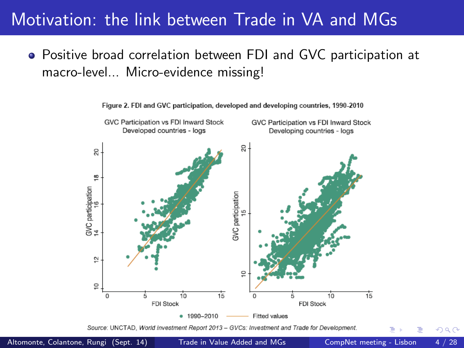### Motivation: the link between Trade in VA and MGs

Positive broad correlation between FDI and GVC participation at macro-level... Micro-evidence missing!



Figure 2, FDI and GVC participation, developed and developing countries, 1990-2010

Source: UNCTAD, World Investment Report 2013 - GVCs: Investment and Trade for Development

Altomonte, Colantone, Rungi (Sept. 14) [Trade in Value Added and MGs](#page-0-0) CompNet meeting - Lisbon 4 / 28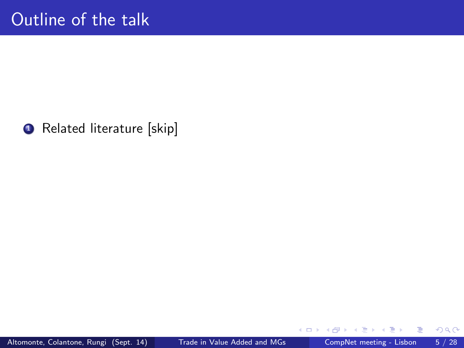

×

4 0 8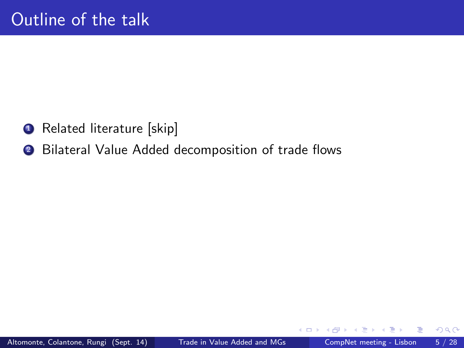- <sup>1</sup> Related literature [skip]
- 2 Bilateral Value Added decomposition of trade flows

4 0 8

 $QQ$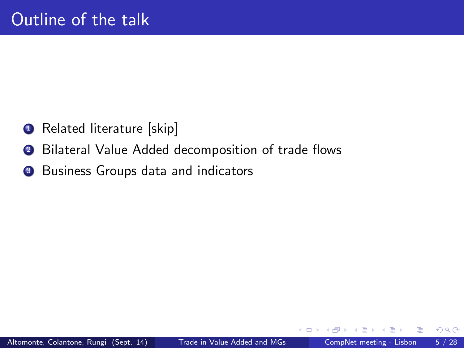- <sup>1</sup> Related literature [skip]
- 2 Bilateral Value Added decomposition of trade flows
- <sup>3</sup> Business Groups data and indicators

 $\leftarrow$ 

 $QQ$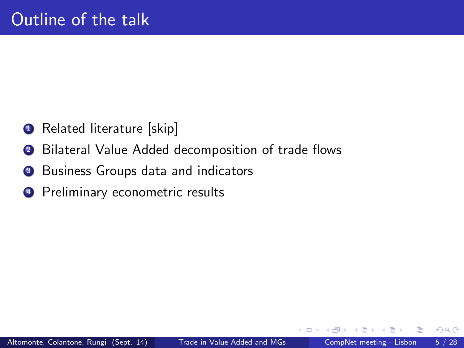- **1** Related literature [skip]
- 2 Bilateral Value Added decomposition of trade flows
- <sup>3</sup> Business Groups data and indicators
- <sup>4</sup> Preliminary econometric results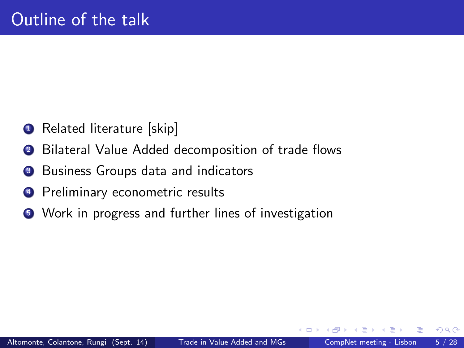- **1** Related literature [skip]
- 2 Bilateral Value Added decomposition of trade flows
- <sup>3</sup> Business Groups data and indicators
- <sup>4</sup> Preliminary econometric results
- <sup>5</sup> Work in progress and further lines of investigation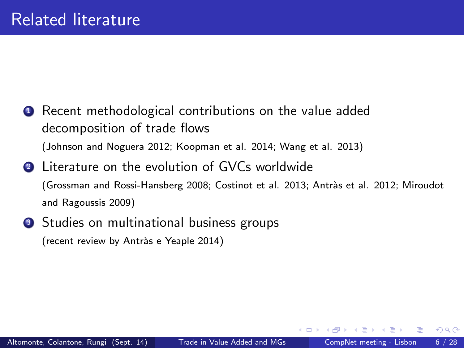- **1** Recent methodological contributions on the value added decomposition of trade flows (Johnson and Noguera 2012; Koopman et al. 2014; Wang et al. 2013)
- **2** Literature on the evolution of GVCs worldwide (Grossman and Rossi-Hansberg 2008; Costinot et al. 2013; Antras et al. 2012; Miroudot and Ragoussis 2009)
- <sup>3</sup> Studies on multinational business groups (recent review by Antràs e Yeaple 2014)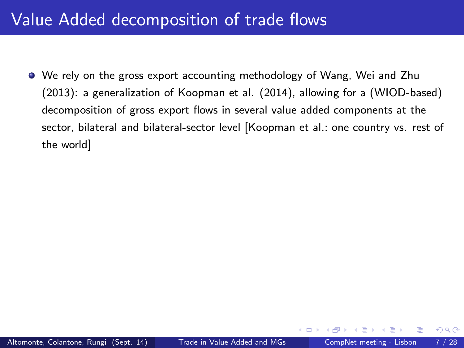We rely on the gross export accounting methodology of Wang, Wei and Zhu (2013): a generalization of Koopman et al. (2014), allowing for a (WIOD-based) decomposition of gross export flows in several value added components at the sector, bilateral and bilateral-sector level [Koopman et al.: one country vs. rest of the world]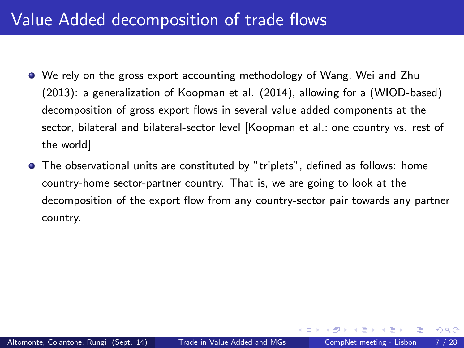- We rely on the gross export accounting methodology of Wang, Wei and Zhu (2013): a generalization of Koopman et al. (2014), allowing for a (WIOD-based) decomposition of gross export flows in several value added components at the sector, bilateral and bilateral-sector level [Koopman et al.: one country vs. rest of the world]
- $\bullet$  The observational units are constituted by "triplets", defined as follows: home country-home sector-partner country. That is, we are going to look at the decomposition of the export flow from any country-sector pair towards any partner country.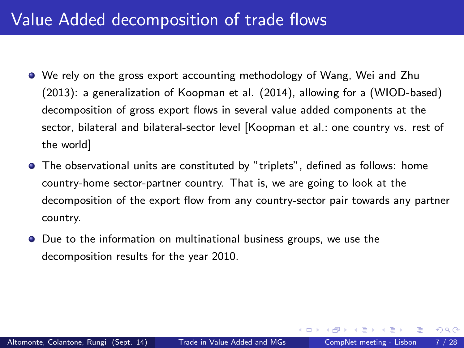- We rely on the gross export accounting methodology of Wang, Wei and Zhu (2013): a generalization of Koopman et al. (2014), allowing for a (WIOD-based) decomposition of gross export flows in several value added components at the sector, bilateral and bilateral-sector level [Koopman et al.: one country vs. rest of the world]
- $\bullet$  The observational units are constituted by "triplets", defined as follows: home country-home sector-partner country. That is, we are going to look at the decomposition of the export flow from any country-sector pair towards any partner country.
- Due to the information on multinational business groups, we use the decomposition results for the year 2010.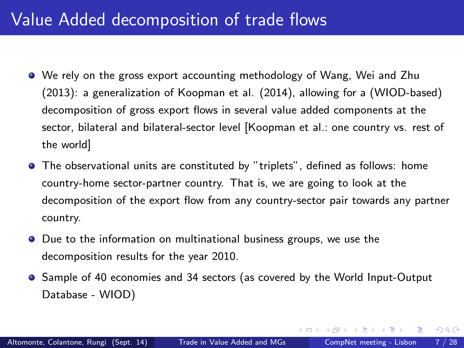- We rely on the gross export accounting methodology of Wang, Wei and Zhu (2013): a generalization of Koopman et al. (2014), allowing for a (WIOD-based) decomposition of gross export flows in several value added components at the sector, bilateral and bilateral-sector level [Koopman et al.: one country vs. rest of the world]
- The observational units are constituted by "triplets", defined as follows: home country-home sector-partner country. That is, we are going to look at the decomposition of the export flow from any country-sector pair towards any partner country.
- Due to the information on multinational business groups, we use the decomposition results for the year 2010.
- Sample of 40 economies and 34 sectors (as covered by the World Input-Output Database - WIOD)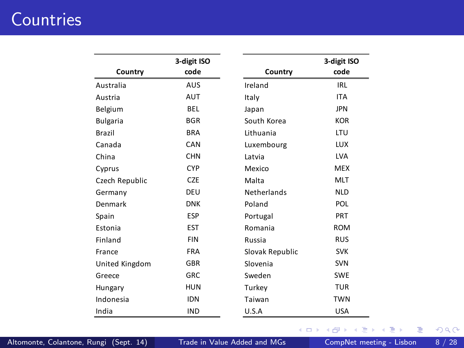# **Countries**

|                 | 3-digit ISO |                    | 3-digit ISO |
|-----------------|-------------|--------------------|-------------|
| Country         | code        | Country            | code        |
| Australia       | <b>AUS</b>  | Ireland            | IRL         |
| Austria         | AUT         | Italy              | <b>ITA</b>  |
| Belgium         | <b>BEL</b>  | Japan              | <b>JPN</b>  |
| <b>Bulgaria</b> | <b>BGR</b>  | South Korea        | <b>KOR</b>  |
| Brazil          | <b>BRA</b>  | Lithuania          | LTU         |
| Canada          | CAN         | Luxembourg         | <b>LUX</b>  |
| China           | <b>CHN</b>  | Latvia             | <b>LVA</b>  |
| Cyprus          | <b>CYP</b>  | Mexico             | <b>MFX</b>  |
| Czech Republic  | <b>CZE</b>  | Malta              | <b>MLT</b>  |
| Germany         | DEU         | <b>Netherlands</b> | <b>NLD</b>  |
| Denmark         | <b>DNK</b>  | Poland             | POL         |
| Spain           | <b>FSP</b>  | Portugal           | PRT         |
| Estonia         | <b>FST</b>  | Romania            | <b>ROM</b>  |
| Finland         | <b>FIN</b>  | Russia             | <b>RUS</b>  |
| France          | <b>FRA</b>  | Slovak Republic    | <b>SVK</b>  |
| United Kingdom  | GBR         | Slovenia           | <b>SVN</b>  |
| Greece          | <b>GRC</b>  | Sweden             | <b>SWF</b>  |
| Hungary         | <b>HUN</b>  | Turkey             | <b>TUR</b>  |
| Indonesia       | <b>IDN</b>  | Taiwan             | <b>TWN</b>  |
| India           | <b>IND</b>  | U.S.A              | <b>USA</b>  |

イロト イ部 トメ ヨ トメ ヨト

 $2990$ 

画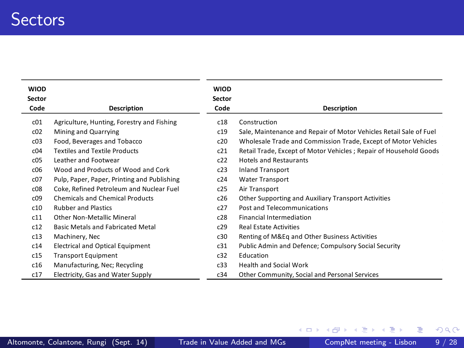| <b>WIOD</b><br>Sector |                                             | <b>WIOD</b><br>Sector |                                                                    |
|-----------------------|---------------------------------------------|-----------------------|--------------------------------------------------------------------|
| Code                  | Description                                 | Code                  | Description                                                        |
| c01                   | Agriculture, Hunting, Forestry and Fishing  | c18                   | Construction                                                       |
| c02                   | Mining and Quarrying                        | c19                   | Sale, Maintenance and Repair of Motor Vehicles Retail Sale of Fuel |
| c03                   | Food, Beverages and Tobacco                 | c20                   | Wholesale Trade and Commission Trade, Except of Motor Vehicles     |
| c04                   | <b>Textiles and Textile Products</b>        | c21                   | Retail Trade, Except of Motor Vehicles ; Repair of Household Goods |
| c05                   | Leather and Footwear                        | c22                   | <b>Hotels and Restaurants</b>                                      |
| c06                   | Wood and Products of Wood and Cork          | c23                   | <b>Inland Transport</b>                                            |
| c07                   | Pulp, Paper, Paper, Printing and Publishing | c24                   | <b>Water Transport</b>                                             |
| c08                   | Coke, Refined Petroleum and Nuclear Fuel    | c25                   | Air Transport                                                      |
| c09                   | <b>Chemicals and Chemical Products</b>      | c26                   | Other Supporting and Auxiliary Transport Activities                |
| c10                   | <b>Rubber and Plastics</b>                  | c27                   | Post and Telecommunications                                        |
| c11                   | Other Non-Metallic Mineral                  | c28                   | <b>Financial Intermediation</b>                                    |
| c12                   | Basic Metals and Fabricated Metal           | c29                   | <b>Real Estate Activities</b>                                      |
| c13                   | Machinery, Nec                              | c30                   | Renting of M&Eq and Other Business Activities                      |
| c14                   | <b>Electrical and Optical Equipment</b>     | c31                   | Public Admin and Defence; Compulsory Social Security               |
| c15                   | <b>Transport Equipment</b>                  | c32                   | Education                                                          |
| c16                   | Manufacturing, Nec; Recycling               | c33                   | <b>Health and Social Work</b>                                      |
| c17                   | Electricity, Gas and Water Supply           | c34                   | Other Community, Social and Personal Services                      |

画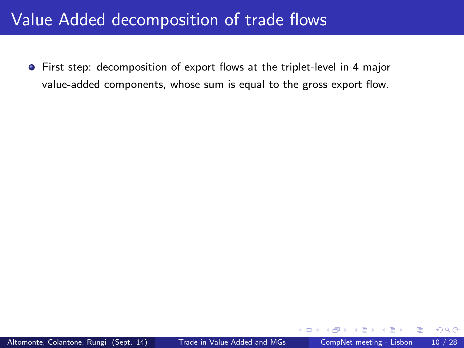• First step: decomposition of export flows at the triplet-level in 4 major value-added components, whose sum is equal to the gross export flow.

 $\leftarrow$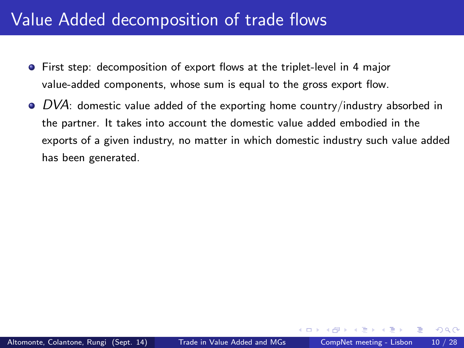- First step: decomposition of export flows at the triplet-level in 4 major value-added components, whose sum is equal to the gross export flow.
- $\bullet$  DVA: domestic value added of the exporting home country/industry absorbed in the partner. It takes into account the domestic value added embodied in the exports of a given industry, no matter in which domestic industry such value added has been generated.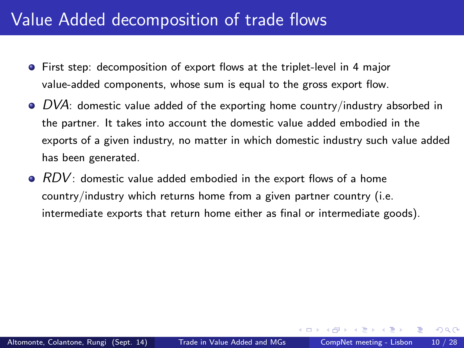- First step: decomposition of export flows at the triplet-level in 4 major value-added components, whose sum is equal to the gross export flow.
- $\bullet$  DVA: domestic value added of the exporting home country/industry absorbed in the partner. It takes into account the domestic value added embodied in the exports of a given industry, no matter in which domestic industry such value added has been generated.
- $\bullet$   $RDV$ : domestic value added embodied in the export flows of a home country/industry which returns home from a given partner country (i.e. intermediate exports that return home either as final or intermediate goods).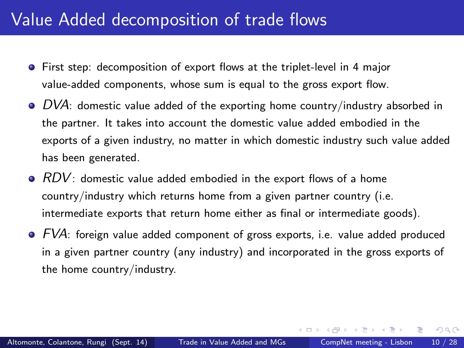- First step: decomposition of export flows at the triplet-level in 4 major value-added components, whose sum is equal to the gross export flow.
- $\bullet$  DVA: domestic value added of the exporting home country/industry absorbed in the partner. It takes into account the domestic value added embodied in the exports of a given industry, no matter in which domestic industry such value added has been generated.
- $\bullet$  RDV: domestic value added embodied in the export flows of a home country/industry which returns home from a given partner country (i.e. intermediate exports that return home either as final or intermediate goods).
- $\bullet$   $FVA$ : foreign value added component of gross exports, i.e. value added produced in a given partner country (any industry) and incorporated in the gross exports of the home country/industry.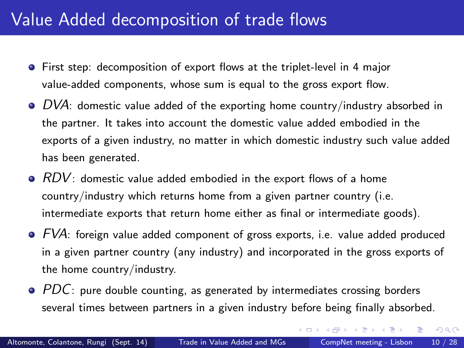- First step: decomposition of export flows at the triplet-level in 4 major value-added components, whose sum is equal to the gross export flow.
- $\bullet$  DVA: domestic value added of the exporting home country/industry absorbed in the partner. It takes into account the domestic value added embodied in the exports of a given industry, no matter in which domestic industry such value added has been generated.
- $\bullet$  RDV: domestic value added embodied in the export flows of a home country/industry which returns home from a given partner country (i.e. intermediate exports that return home either as final or intermediate goods).
- $\bullet$   $FVA$ : foreign value added component of gross exports, i.e. value added produced in a given partner country (any industry) and incorporated in the gross exports of the home country/industry.
- $\bullet$  PDC: pure double counting, as generated by intermediates crossing borders several times between partners in a given industry before being finally absorbed.

イロト イ母 ト イヨ ト イヨ)

 $QQ$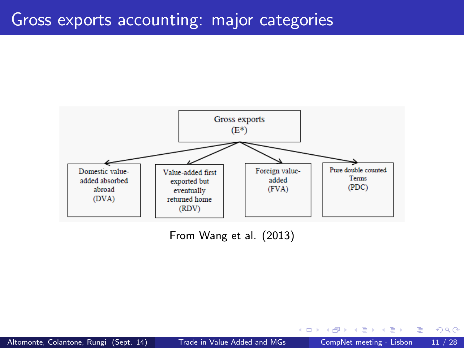#### Gross exports accounting: major categories



From Wang et al. (2013)

4 日下

 $\mathcal{A}$ 

 $QQ$ 

э

一心 語

 $\sim$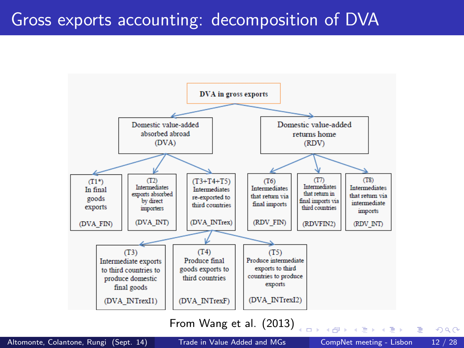# Gross exports accounting: decomposition of DVA



From Wang et al. (2013)

 $\overline{1}$ 

 $QQ$ 

一本 重 下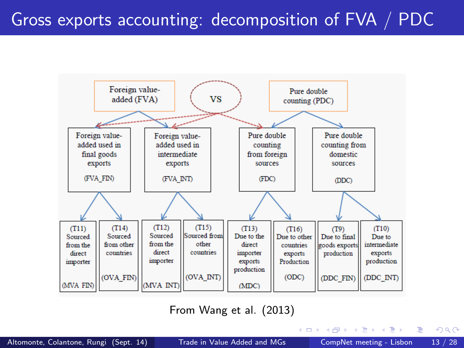

From Wang et al. (2013)

画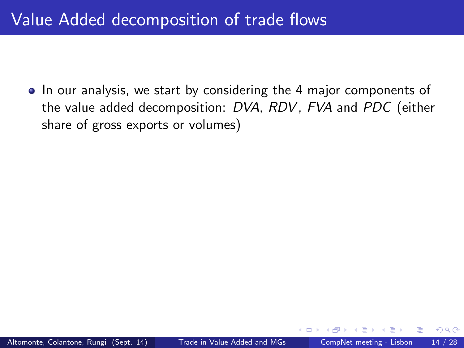• In our analysis, we start by considering the 4 major components of the value added decomposition: DVA, RDV, FVA and PDC (either share of gross exports or volumes)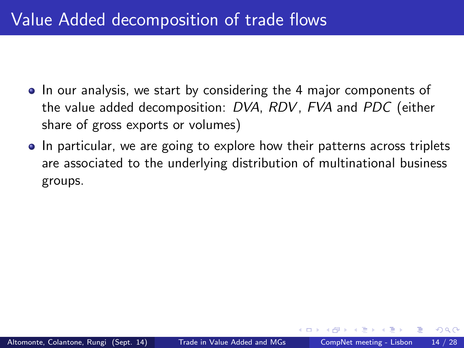- In our analysis, we start by considering the 4 major components of the value added decomposition: DVA, RDV, FVA and PDC (either share of gross exports or volumes)
- In particular, we are going to explore how their patterns across triplets are associated to the underlying distribution of multinational business groups.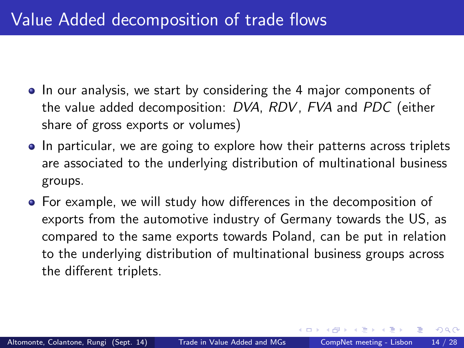- In our analysis, we start by considering the 4 major components of the value added decomposition: DVA, RDV, FVA and PDC (either share of gross exports or volumes)
- In particular, we are going to explore how their patterns across triplets are associated to the underlying distribution of multinational business groups.
- For example, we will study how differences in the decomposition of exports from the automotive industry of Germany towards the US, as compared to the same exports towards Poland, can be put in relation to the underlying distribution of multinational business groups across the different triplets.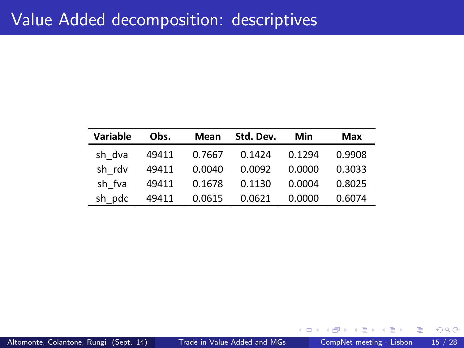| Variable | Obs.  | Mean   | Std. Dev. | Min    | Max    |
|----------|-------|--------|-----------|--------|--------|
| sh dva   | 49411 | 0.7667 | 0.1424    | 0.1294 | 0.9908 |
| sh rdv   | 49411 | 0.0040 | 0.0092    | 0.0000 | 0.3033 |
| sh fva   | 49411 | 0.1678 | 0.1130    | 0.0004 | 0.8025 |
| sh pdc   | 49411 | 0.0615 | 0.0621    | 0.0000 | 0.6074 |

4 0 8

э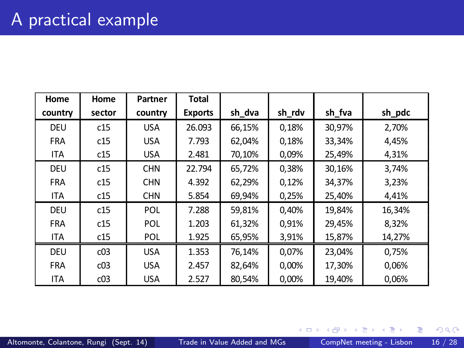| Home       | Home   | Partner    | <b>Total</b>   |        |        |        |        |
|------------|--------|------------|----------------|--------|--------|--------|--------|
| country    | sector | country    | <b>Exports</b> | sh dva | sh rdv | sh fva | sh pdc |
| DEU        | c15    | <b>USA</b> | 26.093         | 66,15% | 0.18%  | 30.97% | 2.70%  |
| <b>FRA</b> | c15    | <b>USA</b> | 7.793          | 62.04% | 0,18%  | 33,34% | 4,45%  |
| <b>ITA</b> | c15    | <b>USA</b> | 2.481          | 70,10% | 0,09%  | 25,49% | 4,31%  |
| DEU        | c15    | <b>CHN</b> | 22.794         | 65.72% | 0.38%  | 30.16% | 3,74%  |
| <b>FRA</b> | c15    | <b>CHN</b> | 4.392          | 62.29% | 0.12%  | 34.37% | 3.23%  |
| <b>ITA</b> | c15    | <b>CHN</b> | 5.854          | 69,94% | 0,25%  | 25,40% | 4,41%  |
| DEU        | c15    | POL        | 7.288          | 59.81% | 0.40%  | 19.84% | 16,34% |
| <b>FRA</b> | c15    | POL        | 1.203          | 61.32% | 0.91%  | 29.45% | 8.32%  |
| <b>ITA</b> | c15    | <b>POL</b> | 1.925          | 65,95% | 3,91%  | 15,87% | 14,27% |
| DEU        | c03    | <b>USA</b> | 1.353          | 76.14% | 0.07%  | 23.04% | 0.75%  |
| <b>FRA</b> | c03    | <b>USA</b> | 2.457          | 82.64% | 0,00%  | 17.30% | 0,06%  |
| <b>ITA</b> | c03    | <b>USA</b> | 2.527          | 80.54% | 0.00%  | 19.40% | 0.06%  |

一 ×  $\mathbf{p}$ Þ

 $\rightarrow$ 

4 日下

重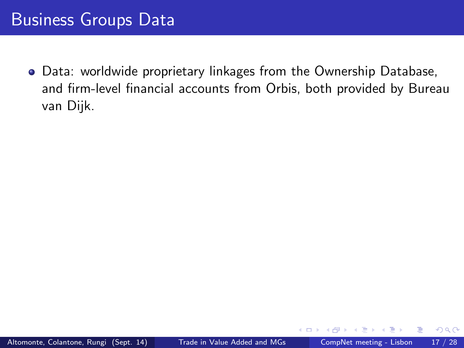Data: worldwide proprietary linkages from the Ownership Database, and firm-level financial accounts from Orbis, both provided by Bureau van Dijk.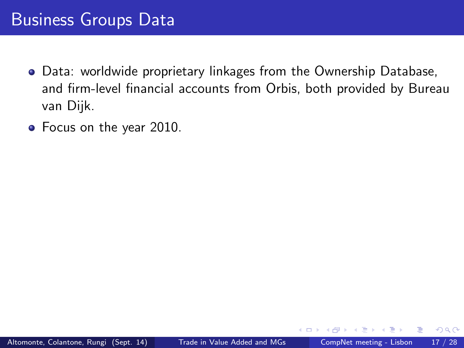- Data: worldwide proprietary linkages from the Ownership Database, and firm-level financial accounts from Orbis, both provided by Bureau van Dijk.
- Focus on the year 2010.

 $200$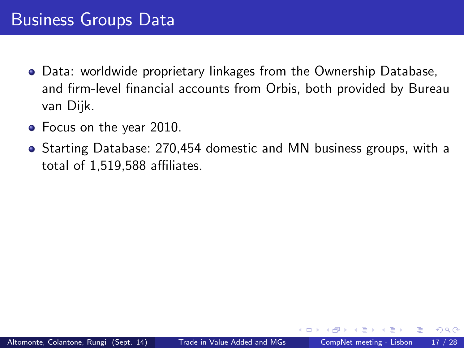- Data: worldwide proprietary linkages from the Ownership Database, and firm-level financial accounts from Orbis, both provided by Bureau van Dijk.
- Focus on the year 2010.
- Starting Database: 270,454 domestic and MN business groups, with a total of 1,519,588 affiliates.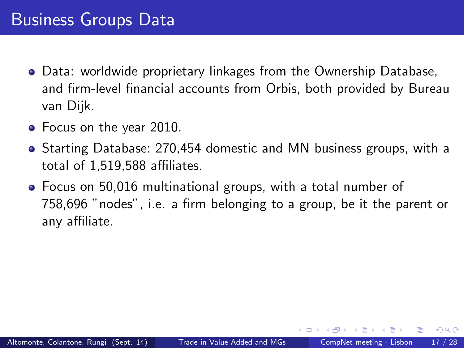- Data: worldwide proprietary linkages from the Ownership Database, and firm-level financial accounts from Orbis, both provided by Bureau van Dijk.
- Focus on the year 2010.
- Starting Database: 270,454 domestic and MN business groups, with a total of 1,519,588 affiliates.
- Focus on 50,016 multinational groups, with a total number of 758,696 "nodes", i.e. a firm belonging to a group, be it the parent or any affiliate.

 $200$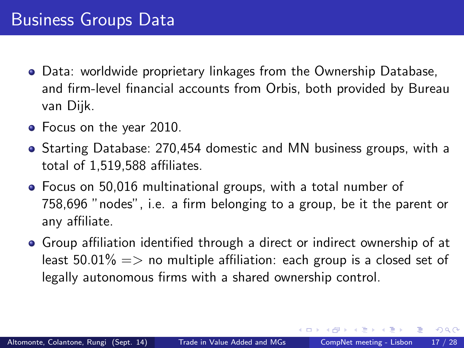- Data: worldwide proprietary linkages from the Ownership Database, and firm-level financial accounts from Orbis, both provided by Bureau van Dijk.
- Focus on the year 2010.
- Starting Database: 270,454 domestic and MN business groups, with a total of  $1.519.588$  affiliates.
- Focus on 50,016 multinational groups, with a total number of 758.696 "nodes", i.e. a firm belonging to a group, be it the parent or any affiliate.
- Group affiliation identified through a direct or indirect ownership of at least 50.01%  $\Rightarrow$  no multiple affiliation: each group is a closed set of legally autonomous firms with a shared ownership control.

ヨメ メヨメ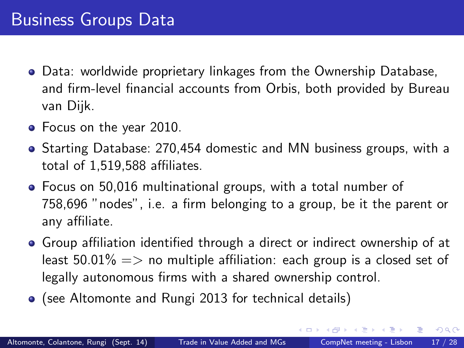- Data: worldwide proprietary linkages from the Ownership Database, and firm-level financial accounts from Orbis, both provided by Bureau van Dijk.
- Focus on the year 2010.
- Starting Database: 270,454 domestic and MN business groups, with a total of  $1.519.588$  affiliates.
- Focus on 50,016 multinational groups, with a total number of 758,696 "nodes", i.e. a firm belonging to a group, be it the parent or any affiliate.
- Group affiliation identified through a direct or indirect ownership of at least 50.01%  $\Rightarrow$  no multiple affiliation: each group is a closed set of legally autonomous firms with a shared ownership control.
- (see Altomonte and Rungi 2013 for technical details)

ヨメ メヨメ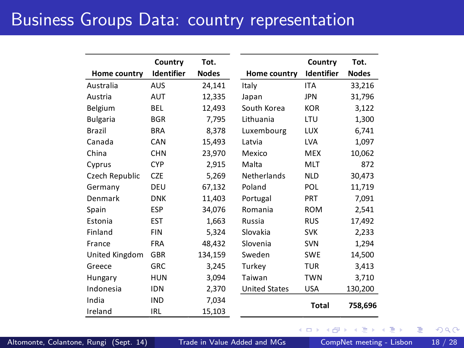### Business Groups Data: country representation

|                 | Country           | Tot.    |                      | Country      | Tot.         |
|-----------------|-------------------|---------|----------------------|--------------|--------------|
| Home country    | <b>Identifier</b> | Nodes   | Home country         | Identifier   | <b>Nodes</b> |
| Australia       | AUS               | 24,141  | Italy                | <b>ITA</b>   | 33,216       |
| Austria         | AUT               | 12,335  | Japan                | <b>JPN</b>   | 31,796       |
| Belgium         | <b>BEL</b>        | 12,493  | South Korea          | <b>KOR</b>   | 3,122        |
| <b>Bulgaria</b> | <b>BGR</b>        | 7,795   | Lithuania            | LTU          | 1,300        |
| <b>Brazil</b>   | <b>BRA</b>        | 8,378   | Luxembourg           | <b>LUX</b>   | 6,741        |
| Canada          | CAN               | 15,493  | Latvia               | <b>LVA</b>   | 1,097        |
| China           | <b>CHN</b>        | 23,970  | Mexico               | <b>MEX</b>   | 10,062       |
| Cyprus          | <b>CYP</b>        | 2,915   | Malta                | MLT          | 872          |
| Czech Republic  | <b>CZE</b>        | 5,269   | Netherlands          | <b>NLD</b>   | 30,473       |
| Germany         | DEU               | 67,132  | Poland               | POL          | 11,719       |
| Denmark         | <b>DNK</b>        | 11,403  | Portugal             | PRT          | 7,091        |
| Spain           | ESP               | 34,076  | Romania              | <b>ROM</b>   | 2,541        |
| Estonia         | EST               | 1,663   | Russia               | <b>RUS</b>   | 17,492       |
| Finland         | <b>FIN</b>        | 5,324   | Slovakia             | <b>SVK</b>   | 2,233        |
| France          | <b>FRA</b>        | 48,432  | Slovenia             | <b>SVN</b>   | 1,294        |
| United Kingdom  | <b>GBR</b>        | 134,159 | Sweden               | <b>SWE</b>   | 14,500       |
| Greece          | GRC               | 3,245   | Turkey               | <b>TUR</b>   | 3,413        |
| Hungary         | <b>HUN</b>        | 3,094   | Taiwan               | <b>TWN</b>   | 3,710        |
| Indonesia       | <b>IDN</b>        | 2,370   | <b>United States</b> | <b>USA</b>   | 130,200      |
| India           | <b>IND</b>        | 7,034   |                      | <b>Total</b> |              |
| Ireland         | <b>IRL</b>        | 15,103  |                      |              | 758,696      |

Altomonte, Colantone, Rungi (Sept. 14) [Trade in Value Added and MGs](#page-0-0) CompNet meeting - Lisbon 18 / 28

 $\leftarrow$ 

 $298$ 

э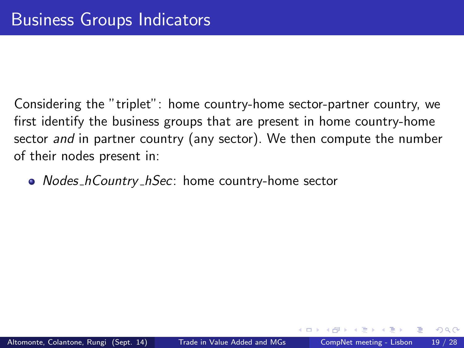• Nodes\_hCountry\_hSec: home country-home sector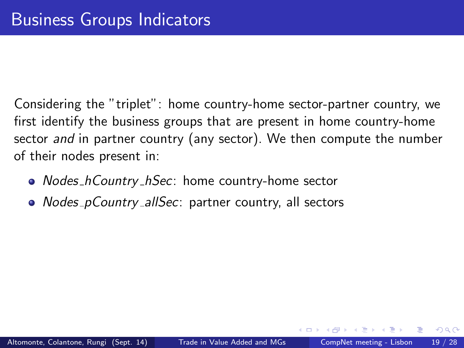- Nodes\_hCountry\_hSec: home country-home sector
- Nodes\_pCountry\_allSec: partner country, all sectors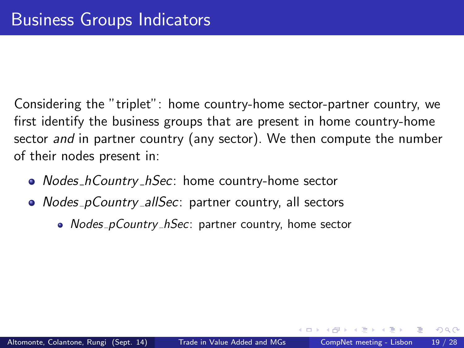- Nodes\_hCountry\_hSec: home country-home sector
- Nodes\_pCountry\_allSec: partner country, all sectors
	- Nodes\_pCountry\_hSec: partner country, home sector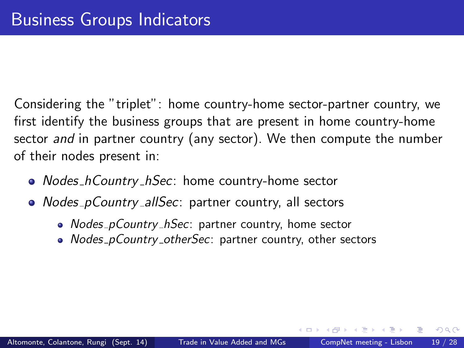- Nodes\_hCountry\_hSec: home country-home sector
- Nodes\_pCountry\_allSec: partner country, all sectors
	- Nodes\_pCountry\_hSec: partner country, home sector
	- Nodes\_pCountry\_otherSec: partner country, other sectors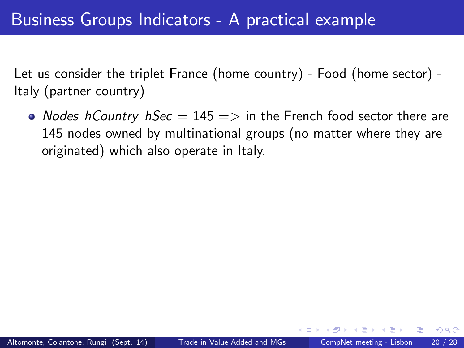• Nodes hCountry  $h$ Sec  $= 145 \Rightarrow$  in the French food sector there are 145 nodes owned by multinational groups (no matter where they are originated) which also operate in Italy.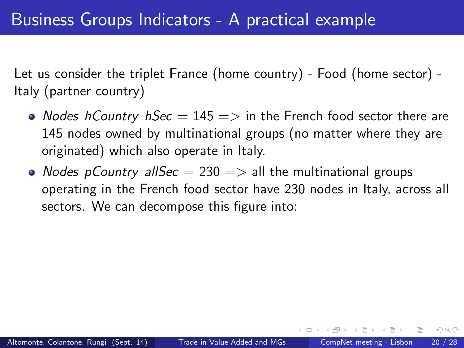- Nodes hCountry  $h$ Sec  $= 145 \Rightarrow$  in the French food sector there are 145 nodes owned by multinational groups (no matter where they are originated) which also operate in Italy.
- Nodes\_pCountry\_allSec  $= 230 \Rightarrow$  all the multinational groups operating in the French food sector have 230 nodes in Italy, across all sectors. We can decompose this figure into: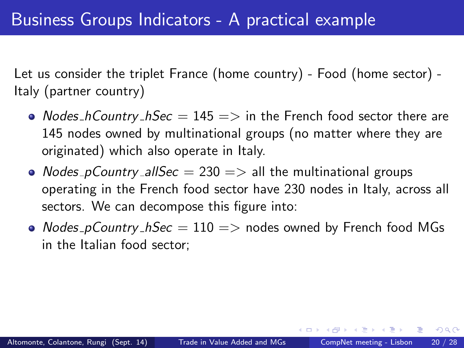- Nodes hCountry  $h$ Sec  $= 145 \Rightarrow$  in the French food sector there are 145 nodes owned by multinational groups (no matter where they are originated) which also operate in Italy.
- Nodes\_pCountry\_allSec  $= 230 \Rightarrow$  all the multinational groups operating in the French food sector have 230 nodes in Italy, across all sectors. We can decompose this figure into:
- Nodes\_pCountry\_hSec =  $110 \implies$  nodes owned by French food MGs in the Italian food sector;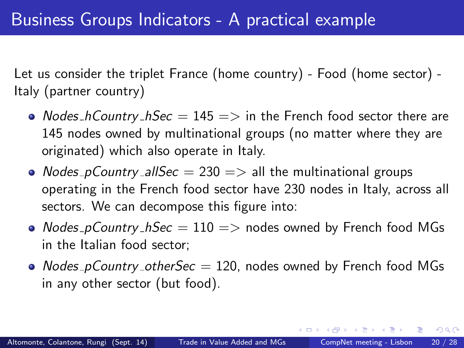- Nodes hCountry  $h$ Sec  $= 145 \Rightarrow$  in the French food sector there are 145 nodes owned by multinational groups (no matter where they are originated) which also operate in Italy.
- Nodes\_pCountry\_allSec  $= 230 \Rightarrow$  all the multinational groups operating in the French food sector have 230 nodes in Italy, across all sectors. We can decompose this figure into:
- Nodes\_pCountry\_hSec =  $110 \Rightarrow$  nodes owned by French food MGs in the Italian food sector;
- Nodes pCountry otherSec  $= 120$ , nodes owned by French food MGs in any other sector (but food).

正々 メラメ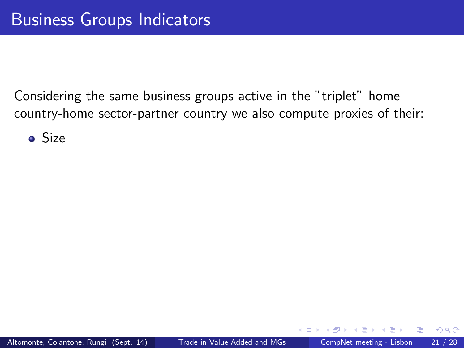**o** Size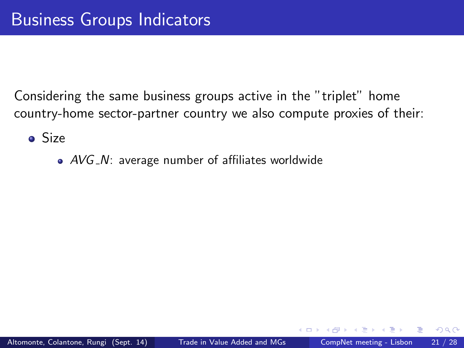**o** Size

 $\bullet$  AVG\_N: average number of affiliates worldwide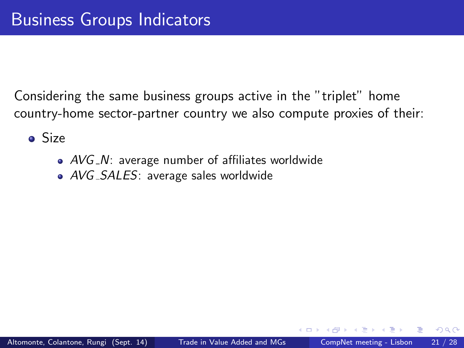**o** Size

- $\bullet$  AVG\_N: average number of affiliates worldwide
- AVG\_SALES: average sales worldwide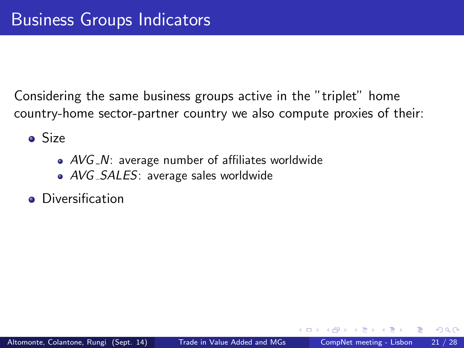**o** Size

- $\bullet$  AVG\_N: average number of affiliates worldwide
- AVG\_SALES: average sales worldwide
- **•** Diversification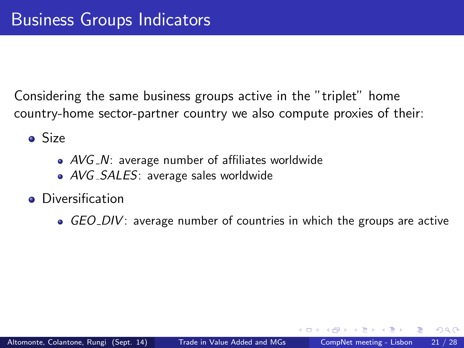**o** Size

- $\bullet$  AVG\_N: average number of affiliates worldwide
- AVG\_SALES: average sales worldwide
- **•** Diversification
	- $\bullet$  GEO DIV: average number of countries in which the groups are active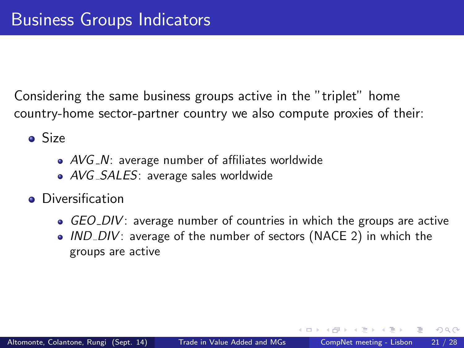**o** Size

- $\bullet$  AVG\_N: average number of affiliates worldwide
- AVG\_SALES: average sales worldwide
- **•** Diversification
	- $\bullet$  GEO DIV: average number of countries in which the groups are active
	- $\bullet$  IND DIV: average of the number of sectors (NACE 2) in which the groups are active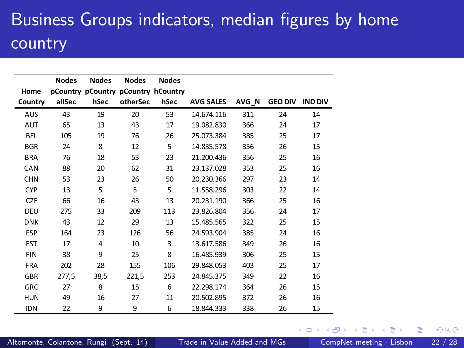# Business Groups indicators, median figures by home country

|            | <b>Nodes</b> | <b>Nodes</b>   | <b>Nodes</b>                        | <b>Nodes</b> |                  |       |                |                |
|------------|--------------|----------------|-------------------------------------|--------------|------------------|-------|----------------|----------------|
| Home       |              |                | pCountry pCountry pCountry hCountry |              |                  |       |                |                |
| Country    | allSec       | hSec           | otherSec                            | hSec         | <b>AVG SALES</b> | AVG_N | <b>GEO DIV</b> | <b>IND DIV</b> |
| AUS        | 43           | 19             | 20                                  | 53           | 14.674.116       | 311   | 24             | 14             |
| AUT        | 65           | 13             | 43                                  | 17           | 19.082.830       | 366   | 24             | 17             |
| BEL        | 105          | 19             | 76                                  | 26           | 25.073.384       | 385   | 25             | 17             |
| <b>BGR</b> | 24           | 8              | 12                                  | 5            | 14.835.578       | 356   | 26             | 15             |
| <b>BRA</b> | 76           | 18             | 53                                  | 23           | 21.200.436       | 356   | 25             | 16             |
| CAN        | 88           | 20             | 62                                  | 31           | 23.137.028       | 353   | 25             | 16             |
| <b>CHN</b> | 53           | 23             | 26                                  | 50           | 20.230.366       | 297   | 23             | 14             |
| <b>CYP</b> | 13           | 5              | 5                                   | 5            | 11.558.296       | 303   | 22             | 14             |
| <b>CZE</b> | 66           | 16             | 43                                  | 13           | 20.231.190       | 366   | 25             | 16             |
| DEU        | 275          | 33             | 209                                 | 113          | 23.826.804       | 356   | 24             | 17             |
| <b>DNK</b> | 43           | 12             | 29                                  | 13           | 15.485.565       | 322   | 25             | 15             |
| <b>ESP</b> | 164          | 23             | 126                                 | 56           | 24.593.904       | 385   | 24             | 16             |
| <b>EST</b> | 17           | $\overline{4}$ | 10                                  | 3            | 13.617.586       | 349   | 26             | 16             |
| <b>FIN</b> | 38           | 9              | 25                                  | 8            | 16.485.939       | 306   | 25             | 15             |
| <b>FRA</b> | 202          | 28             | 155                                 | 106          | 29.848.053       | 403   | 25             | 17             |
| <b>GBR</b> | 277,5        | 38,5           | 221,5                               | 253          | 24.845.375       | 349   | 22             | 16             |
| <b>GRC</b> | 27           | 8              | 15                                  | 6            | 22.298.174       | 364   | 26             | 15             |
| <b>HUN</b> | 49           | 16             | 27                                  | 11           | 20.502.895       | 372   | 26             | 16             |
| <b>IDN</b> | 22           | 9              | 9                                   | 6            | 18.844.333       | 338   | 26             | 15             |

4 0 8

э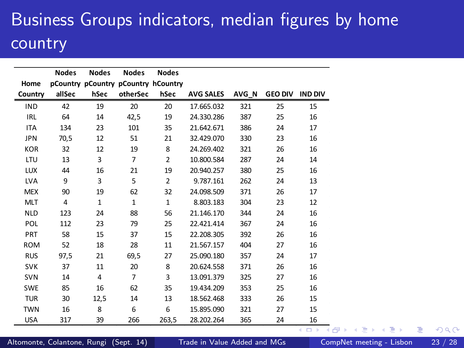# Business Groups indicators, median figures by home country

|            | <b>Nodes</b>   | <b>Nodes</b> | <b>Nodes</b>                        | <b>Nodes</b>   |                  |       |                |                |
|------------|----------------|--------------|-------------------------------------|----------------|------------------|-------|----------------|----------------|
| Home       |                |              | pCountry pCountry pCountry hCountry |                |                  |       |                |                |
| Country    | allSec         | hSec         | otherSec                            | hSec           | <b>AVG SALES</b> | AVG N | <b>GEO DIV</b> | <b>IND DIV</b> |
| <b>IND</b> | 42             | 19           | 20                                  | 20             | 17.665.032       | 321   | 25             | 15             |
| <b>IRL</b> | 64             | 14           | 42,5                                | 19             | 24.330.286       | 387   | 25             | 16             |
| <b>ITA</b> | 134            | 23           | 101                                 | 35             | 21.642.671       | 386   | 24             | 17             |
| <b>JPN</b> | 70.5           | 12           | 51                                  | 21             | 32.429.070       | 330   | 23             | 16             |
| <b>KOR</b> | 32             | 12           | 19                                  | 8              | 24.269.402       | 321   | 26             | 16             |
| LTU        | 13             | 3            | $\overline{7}$                      | $\overline{2}$ | 10.800.584       | 287   | 24             | 14             |
| <b>LUX</b> | 44             | 16           | 21                                  | 19             | 20.940.257       | 380   | 25             | 16             |
| <b>LVA</b> | 9              | 3            | 5                                   | $\overline{2}$ | 9.787.161        | 262   | 24             | 13             |
| <b>MEX</b> | 90             | 19           | 62                                  | 32             | 24.098.509       | 371   | 26             | 17             |
| <b>MLT</b> | $\overline{4}$ | $\mathbf{1}$ | $\mathbf{1}$                        | $\mathbf{1}$   | 8.803.183        | 304   | 23             | 12             |
| <b>NLD</b> | 123            | 24           | 88                                  | 56             | 21.146.170       | 344   | 24             | 16             |
| POL        | 112            | 23           | 79                                  | 25             | 22.421.414       | 367   | 24             | 16             |
| PRT        | 58             | 15           | 37                                  | 15             | 22.208.305       | 392   | 26             | 16             |
| <b>ROM</b> | 52             | 18           | 28                                  | 11             | 21.567.157       | 404   | 27             | 16             |
| <b>RUS</b> | 97,5           | 21           | 69,5                                | 27             | 25.090.180       | 357   | 24             | 17             |
| <b>SVK</b> | 37             | 11           | 20                                  | 8              | 20.624.558       | 371   | 26             | 16             |
| <b>SVN</b> | 14             | 4            | $\overline{7}$                      | 3              | 13.091.379       | 325   | 27             | 16             |
| <b>SWE</b> | 85             | 16           | 62                                  | 35             | 19.434.209       | 353   | 25             | 16             |
| <b>TUR</b> | 30             | 12,5         | 14                                  | 13             | 18.562.468       | 333   | 26             | 15             |
| <b>TWN</b> | 16             | 8            | 6                                   | 6              | 15.895.090       | 321   | 27             | 15             |
| <b>USA</b> | 317            | 39           | 266                                 | 263,5          | 28.202.264       | 365   | 24             | 16             |

Altomonte, Colantone, Rungi (Sept. 14) [Trade in Value Added and MGs](#page-0-0) CompNet meeting - Lisbon 23 / 28

 $\leftarrow$   $\Box$ 

÷,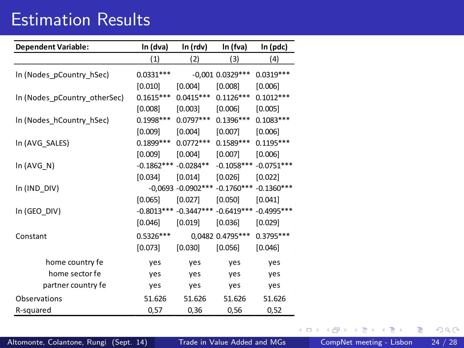### Estimation Results

| <b>Dependent Variable:</b>   | In (dva)     | In (rdv)               | In (fva)             | In (pdc)     |
|------------------------------|--------------|------------------------|----------------------|--------------|
|                              | (1)          | (2)                    | (3)                  | (4)          |
| In (Nodes_pCountry_hSec)     | $0.0331***$  |                        | $-0,001$ $0.0329***$ | $0.0319***$  |
|                              | [0.010]      | [0.004]                | [0.008]              | [0.006]      |
| In (Nodes_pCountry_otherSec) | $0.1615***$  | $0.0415***$            | $0.1126***$          | $0.1012***$  |
|                              | [0.008]      | [0.003]                | [0.006]              | [0.005]      |
| In (Nodes_hCountry_hSec)     | $0.1998***$  | $0.0797***$            | $0.1396***$          | $0.1083***$  |
|                              | [0.009]      | $[0.004]$              | $[0.007]$            | [0.006]      |
| In (AVG_SALES)               | $0.1899***$  | $0.0772***$            | $0.1589***$          | $0.1195***$  |
|                              | [0.009]      | [0.004]                | [0.007]              | [0.006]      |
| In (AVG_N)                   | $-0.1862***$ | $-0.0284**$            | $-0.1058***$         | $-0.0751***$ |
|                              | $[0.034]$    | $[0.014]$              | [0.026]              | [0.022]      |
| In (IND_DIV)                 |              | $-0,0693 - 0.0902$ *** | $-0.1760***$         | $-0.1360***$ |
|                              | [0.065]      | [0.027]                | [0.050]              | [0.041]      |
| In (GEO_DIV)                 |              | $-0.8013***-0.3447***$ | $-0.6419***$         | $-0.4995***$ |
|                              | [0.046]      | [0.019]                | [0.036]              | $[0.029]$    |
| Constant                     | $0.5326***$  |                        | 0,0482 0.4795***     | $0.3795***$  |
|                              | [0.073]      | [0.030]                | [0.056]              | [0.046]      |
| home country fe              | yes          | yes                    | yes                  | yes          |
| home sector fe               | yes          | yes                    | yes                  | yes          |
| partner country fe           | yes          | yes                    | yes                  | yes          |
| Observations                 | 51.626       | 51.626                 | 51.626               | 51.626       |
| R-squared                    | 0,57         | 0,36                   | 0,56                 | 0,52         |

Altomonte, Colantone, Rungi (Sept. 14) [Trade in Value Added and MGs](#page-0-0) CompNet meeting - Lisbon 24 / 28

化重 网络重 . p

**←ロト ←何ト** 

<span id="page-59-0"></span>重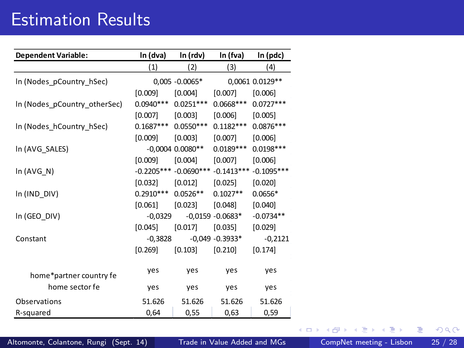### Estimation Results

| <b>Dependent Variable:</b>   | In (dva)    | In (rdv)                | In (fva)            | In (pdc)        |
|------------------------------|-------------|-------------------------|---------------------|-----------------|
|                              | (1)         | (2)                     | (3)                 | (4)             |
| In (Nodes_pCountry_hSec)     |             | $0,005 - 0.0065*$       |                     | 0,0061 0.0129** |
|                              | [0.009]     | $[0.004]$               | [0.007]             | [0.006]         |
| In (Nodes_pCountry_otherSec) | $0.0940***$ | $0.0251***$             | $0.0668***$         | $0.0727***$     |
|                              | $[0.007]$   | $[0.003]$               | [0.006]             | [0.005]         |
| In (Nodes_hCountry_hSec)     | $0.1687***$ | $0.0550***$             | $0.1182***$         | $0.0876***$     |
|                              | [0.009]     | [0.003]                 | [0.007]             | [0.006]         |
| In (AVG SALES)               |             | $-0,0004$ 0.0080**      | $0.0189***$         | $0.0198***$     |
|                              | [0.009]     | $[0.004]$               | [0.007]             | [0.006]         |
| In (AVG N)                   |             | $-0.2205*** -0.0690***$ | $-0.1413***$        | $-0.1095***$    |
|                              | $[0.032]$   | [0.012]                 | $[0.025]$           | [0.020]         |
| In (IND_DIV)                 | $0.2910***$ | $0.0526**$              | $0.1027**$          | $0.0656*$       |
|                              | $[0.061]$   | [0.023]                 | [0.048]             | [0.040]         |
| In (GEO_DIV)                 | $-0,0329$   |                         | $-0.0159 - 0.0683*$ | $-0.0734**$     |
|                              | [0.045]     | [0.017]                 | [0.035]             | [0.029]         |
| Constant                     | $-0,3828$   |                         | $-0.049 - 0.3933*$  | $-0,2121$       |
|                              | $[0.269]$   | [0.103]                 | [0.210]             | [0.174]         |
| home*partner country fe      | yes         | yes                     | yes                 | yes             |
| home sector fe               | yes         | yes                     | yes                 | yes             |
| Observations                 | 51.626      | 51.626                  | 51.626              | 51.626          |
| R-squared                    | 0,64        | 0,55                    | 0,63                | 0,59            |

医前头面 þ.

4 0 8

×

重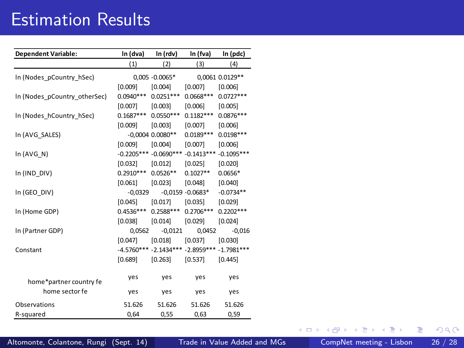### Estimation Results

| <b>Dependent Variable:</b>   | In (dva)    | In (rdv)                  | In (fva)                                    | In (pdc)        |
|------------------------------|-------------|---------------------------|---------------------------------------------|-----------------|
|                              | (1)         | (2)                       | (3)                                         | (4)             |
| In (Nodes pCountry hSec)     |             | $0,005 - 0.0065*$         |                                             | 0,0061 0.0129** |
|                              | [0.009]     | [0.004]                   | [0.007]                                     | [0.006]         |
| In (Nodes pCountry otherSec) | $0.0940***$ | $0.0251***$               | $0.0668***$                                 | $0.0727***$     |
|                              | [0.007]     | [0.003]                   | [0.006]                                     | [0.005]         |
| In (Nodes hCountry hSec)     | $0.1687***$ | $0.0550***$               | $0.1182***$                                 | $0.0876***$     |
|                              | [0.009]     | [0.003]                   | [0.007]                                     | [0.006]         |
| In (AVG_SALES)               |             | $-0,0004$ $0.0080**$      | $0.0189***$                                 | $0.0198***$     |
|                              | [0.009]     | [0.004]                   | [0.007]                                     | [0.006]         |
| In (AVG N)                   |             | $-0.2205***$ $-0.0690***$ | $-0.1413***$                                | $-0.1095***$    |
|                              | [0.032]     | [0.012]                   | [0.025]                                     | [0.020]         |
| In (IND_DIV)                 | $0.2910***$ | $0.0526**$                | $0.1027**$                                  | $0.0656*$       |
|                              | [0.061]     | [0.023]                   | [0.048]                                     | [0.040]         |
| In (GEO DIV)                 | $-0,0329$   |                           | $-0.0159 - 0.0683*$                         | $-0.0734**$     |
|                              | [0.045]     | [0.017]                   | [0.035]                                     | [0.029]         |
| In (Home GDP)                | $0.4536***$ | $0.2588***$               | $0.2706***$                                 | $0.2202***$     |
|                              | [0.038]     | [0.014]                   | [0.029]                                     | [0.024]         |
| In (Partner GDP)             | 0.0562      | $-0.0121$                 | 0,0452                                      | $-0,016$        |
|                              | [0.047]     | [0.018]                   | [0.037]                                     | [0.030]         |
| Constant                     |             |                           | -4.5760*** -2.1434*** -2.8959*** -1.7981*** |                 |
|                              | [0.689]     | $[0.263]$                 | [0.537]                                     | [0.445]         |
|                              | yes         | yes                       | yes                                         | yes             |
| home*partner country fe      |             |                           |                                             |                 |
| home sector fe               | yes         | yes                       | yes                                         | yes             |
| Observations                 | 51.626      | 51.626                    | 51.626                                      | 51.626          |
| R-squared                    | 0.64        | 0.55                      | 0,63                                        | 0.59            |

Altomonte, Colantone, Rungi (Sept. 14) [Trade in Value Added and MGs](#page-0-0) CompNet meeting - Lisbon 26 / 28

4 0 8

× ×. 重

重

 $|b| = 4$ ×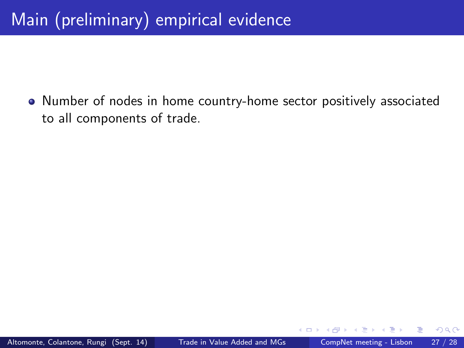• Number of nodes in home country-home sector positively associated to all components of trade.

 $\leftarrow$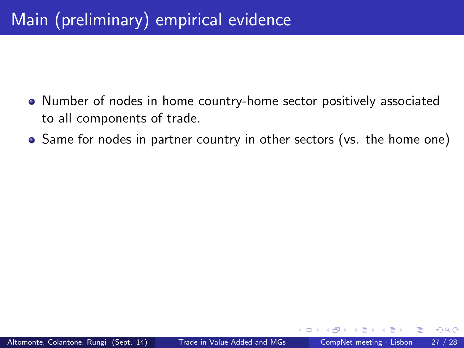- Number of nodes in home country-home sector positively associated to all components of trade.
- Same for nodes in partner country in other sectors (vs. the home one)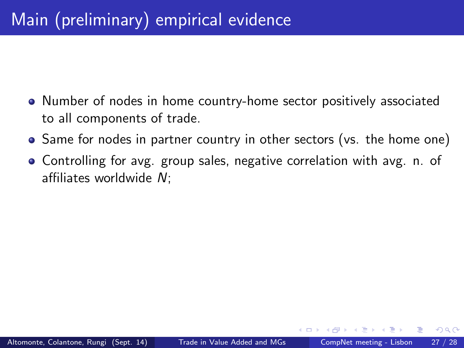- Number of nodes in home country-home sector positively associated to all components of trade.
- Same for nodes in partner country in other sectors (vs. the home one)
- Controlling for avg. group sales, negative correlation with avg. n. of affiliates worldwide  $N$ :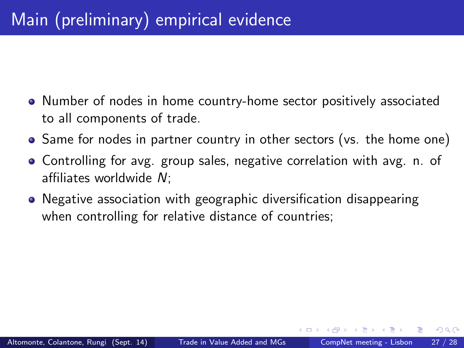- Number of nodes in home country-home sector positively associated to all components of trade.
- Same for nodes in partner country in other sectors (vs. the home one)
- Controlling for avg. group sales, negative correlation with avg. n. of affiliates worldwide  $N$ :
- **•** Negative association with geographic diversification disappearing when controlling for relative distance of countries;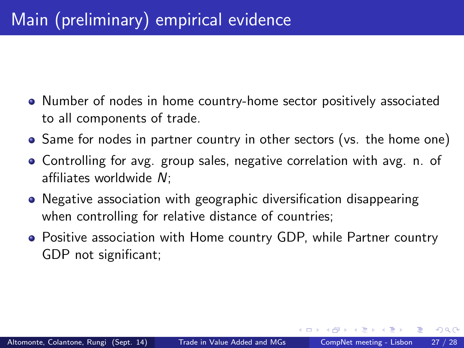- Number of nodes in home country-home sector positively associated to all components of trade.
- Same for nodes in partner country in other sectors (vs. the home one)
- Controlling for avg. group sales, negative correlation with avg. n. of affiliates worldwide  $N$ :
- **•** Negative association with geographic diversification disappearing when controlling for relative distance of countries;
- Positive association with Home country GDP, while Partner country GDP not signicant;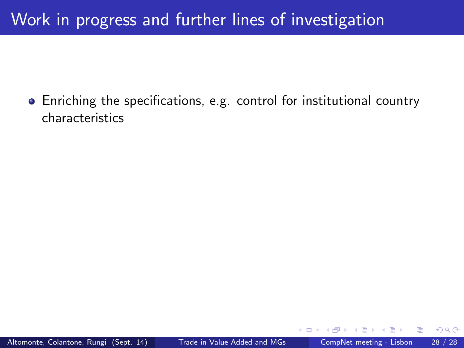## Work in progress and further lines of investigation

Enriching the specications, e.g. control for institutional country characteristics

 $\leftarrow$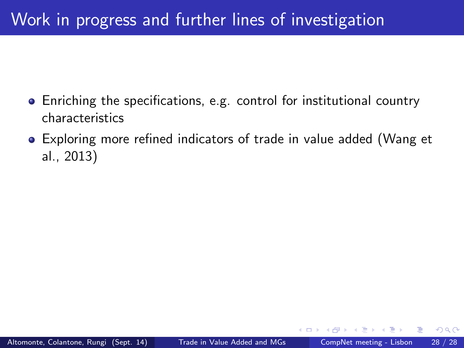- Enriching the specications, e.g. control for institutional country characteristics
- Exploring more refined indicators of trade in value added (Wang et al., 2013)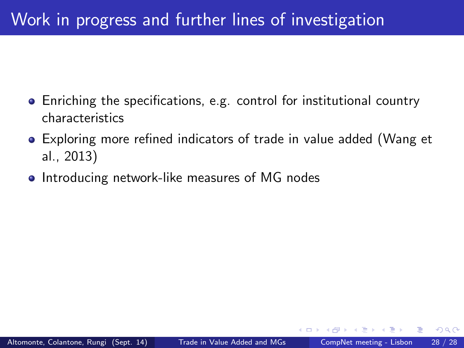- Enriching the specications, e.g. control for institutional country characteristics
- Exploring more refined indicators of trade in value added (Wang et al., 2013)
- **•** Introducing network-like measures of MG nodes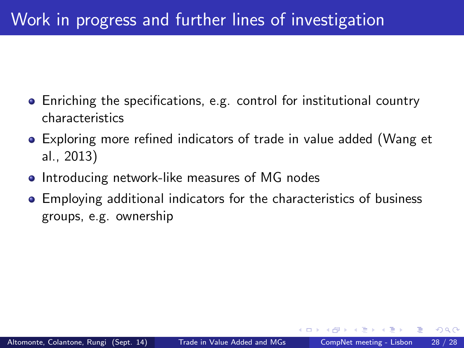- Enriching the specications, e.g. control for institutional country characteristics
- Exploring more refined indicators of trade in value added (Wang et al., 2013)
- **•** Introducing network-like measures of MG nodes
- Employing additional indicators for the characteristics of business groups, e.g. ownership